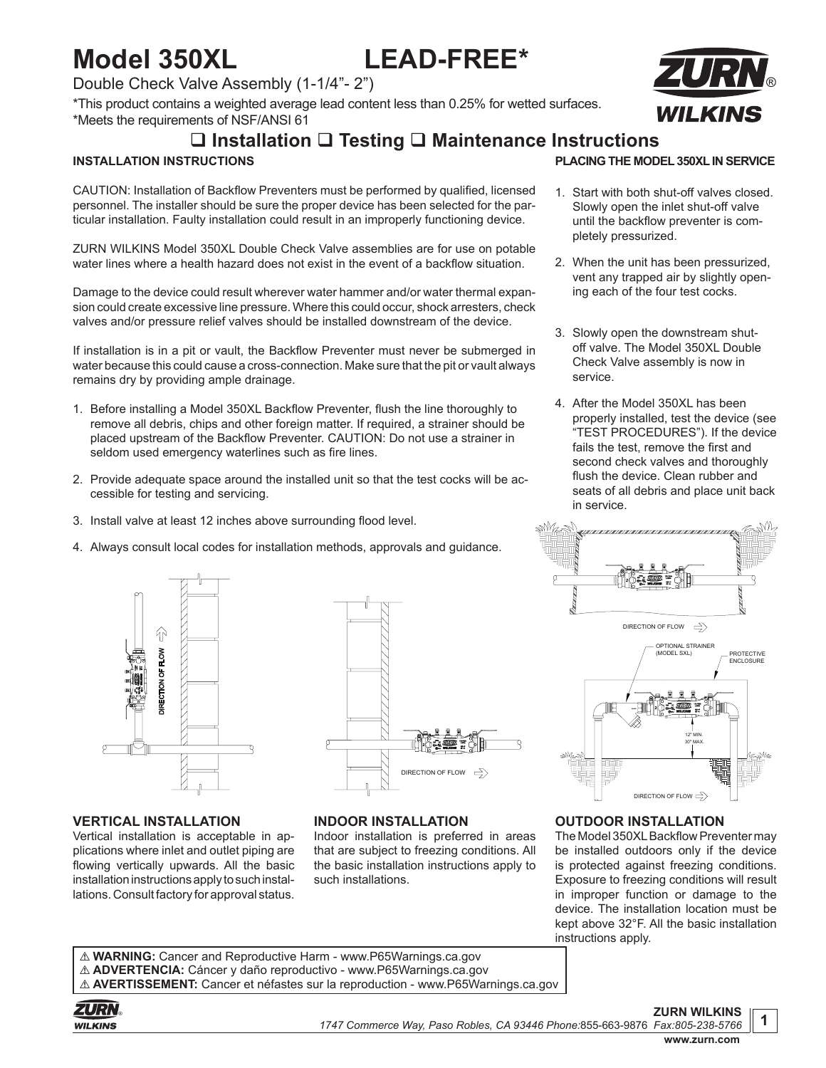# **Model 350XL LEAD-FREE\***

### Double Check Valve Assembly (1-1/4"- 2")

\*This product contains a weighted average lead content less than 0.25% for wetted surfaces. \*Meets the requirements of NSF/ANSI 61

## **Installation Testing Maintenance Instructions**

#### **INSTALLATION INSTRUCTIONS**

CAUTION: Installation of Backflow Preventers must be performed by qualified, licensed personnel. The installer should be sure the proper device has been selected for the particular installation. Faulty installation could result in an improperly functioning device.

ZURN WILKINS Model 350XL Double Check Valve assemblies are for use on potable water lines where a health hazard does not exist in the event of a backflow situation.

Damage to the device could result wherever water hammer and/or water thermal expansion could create excessive line pressure. Where this could occur, shock arresters, check valves and/or pressure relief valves should be installed downstream of the device.

If installation is in a pit or vault, the Backflow Preventer must never be submerged in water because this could cause a cross-connection. Make sure that the pit or vault always remains dry by providing ample drainage.

- 1. Before installing a Model 350XL Backflow Preventer, flush the line thoroughly to remove all debris, chips and other foreign matter. If required, a strainer should be placed upstream of the Backflow Preventer. CAUTION: Do not use a strainer in seldom used emergency waterlines such as fire lines.
- 2. Provide adequate space around the installed unit so that the test cocks will be accessible for testing and servicing.
- 3. Install valve at least 12 inches above surrounding flood level.
- 4. Always consult local codes for installation methods, approvals and guidance.



#### **VERTICAL INSTALLATION**

Vertical installation is acceptable in applications where inlet and outlet piping are flowing vertically upwards. All the basic installation instructions apply to such installations. Consult factory for approval status.



#### **INDOOR INSTALLATION**

Indoor installation is preferred in areas that are subject to freezing conditions. All the basic installation instructions apply to such installations.



#### **PLACING THE MODEL 350XL IN SERVICE**

- 1. Start with both shut-off valves closed. Slowly open the inlet shut-off valve until the backflow preventer is completely pressurized.
- 2. When the unit has been pressurized, vent any trapped air by slightly opening each of the four test cocks.
- 3. Slowly open the downstream shutoff valve. The Model 350XL Double Check Valve assembly is now in service.
- 4. After the Model 350XL has been properly installed, test the device (see "TEST PROCEDURES"). If the device fails the test, remove the first and second check valves and thoroughly flush the device. Clean rubber and seats of all debris and place unit back in service.



#### **OUTDOOR INSTALLATION**

The Model 350XL Backflow Preventer may be installed outdoors only if the device is protected against freezing conditions. Exposure to freezing conditions will result in improper function or damage to the device. The installation location must be kept above 32°F. All the basic installation instructions apply.

! **WARNING:** Cancer and Reproductive Harm - www.P65Warnings.ca.gov ! **ADVERTENCIA:** Cáncer y daño reproductivo - www.P65Warnings.ca.gov ! **AVERTISSEMENT:** Cancer et néfastes sur la reproduction - www.P65Warnings.ca.gov

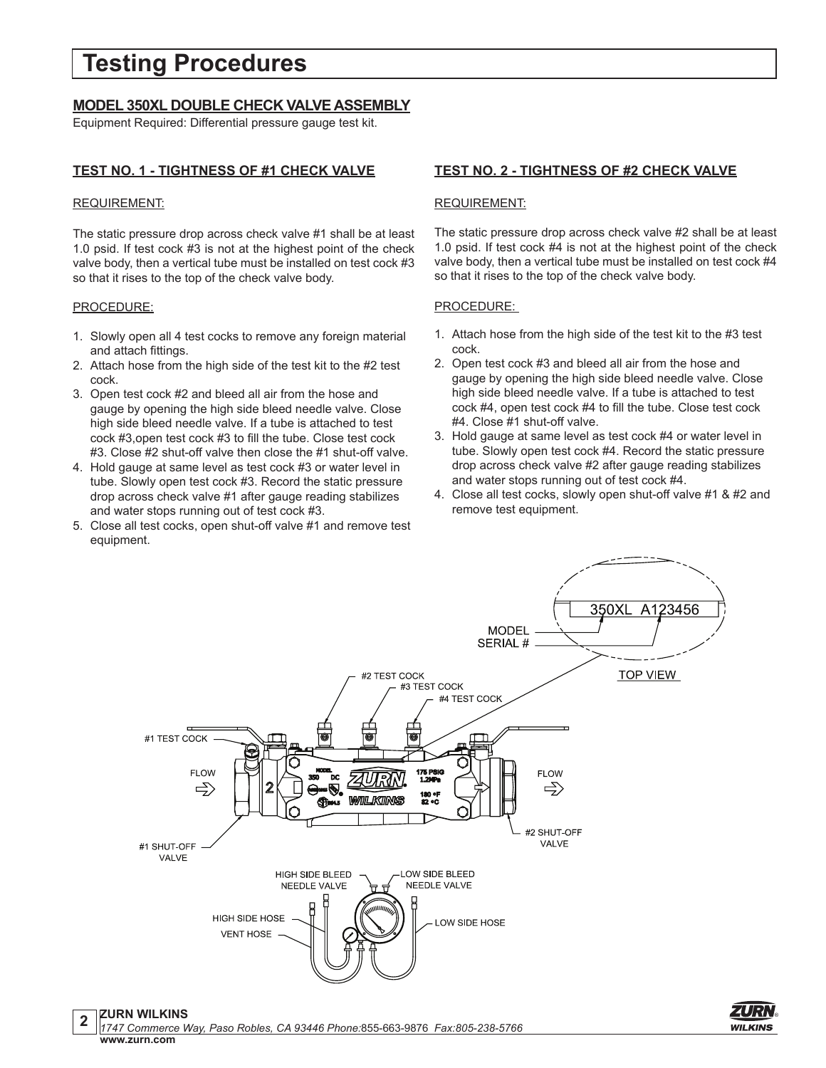## **Testing Procedures**

#### **MODEL 350XL DOUBLE CHECK VALVE ASSEMBLY**

Equipment Required: Differential pressure gauge test kit.

#### **TEST NO. 1 - TIGHTNESS OF #1 CHECK VALVE**

#### REQUIREMENT:

The static pressure drop across check valve #1 shall be at least 1.0 psid. If test cock #3 is not at the highest point of the check valve body, then a vertical tube must be installed on test cock #3 so that it rises to the top of the check valve body.

#### PROCEDURE:

- 1. Slowly open all 4 test cocks to remove any foreign material and attach fittings.
- 2. Attach hose from the high side of the test kit to the #2 test cock.
- 3. Open test cock #2 and bleed all air from the hose and gauge by opening the high side bleed needle valve. Close high side bleed needle valve. If a tube is attached to test cock #3,open test cock #3 to fill the tube. Close test cock #3. Close #2 shut-off valve then close the #1 shut-off valve.
- 4. Hold gauge at same level as test cock #3 or water level in tube. Slowly open test cock #3. Record the static pressure drop across check valve #1 after gauge reading stabilizes and water stops running out of test cock #3.
- 5. Close all test cocks, open shut-off valve #1 and remove test equipment.

#### **TEST NO. 2 - TIGHTNESS OF #2 CHECK VALVE**

#### REQUIREMENT:

The static pressure drop across check valve #2 shall be at least 1.0 psid. If test cock #4 is not at the highest point of the check valve body, then a vertical tube must be installed on test cock #4 so that it rises to the top of the check valve body.

#### PROCEDURE:

- 1. Attach hose from the high side of the test kit to the #3 test cock.
- 2. Open test cock #3 and bleed all air from the hose and gauge by opening the high side bleed needle valve. Close high side bleed needle valve. If a tube is attached to test cock #4, open test cock #4 to fill the tube. Close test cock #4. Close #1 shut-off valve.
- 3. Hold gauge at same level as test cock #4 or water level in tube. Slowly open test cock #4. Record the static pressure drop across check valve #2 after gauge reading stabilizes and water stops running out of test cock #4.
- 4. Close all test cocks, slowly open shut-off valve #1 & #2 and remove test equipment.



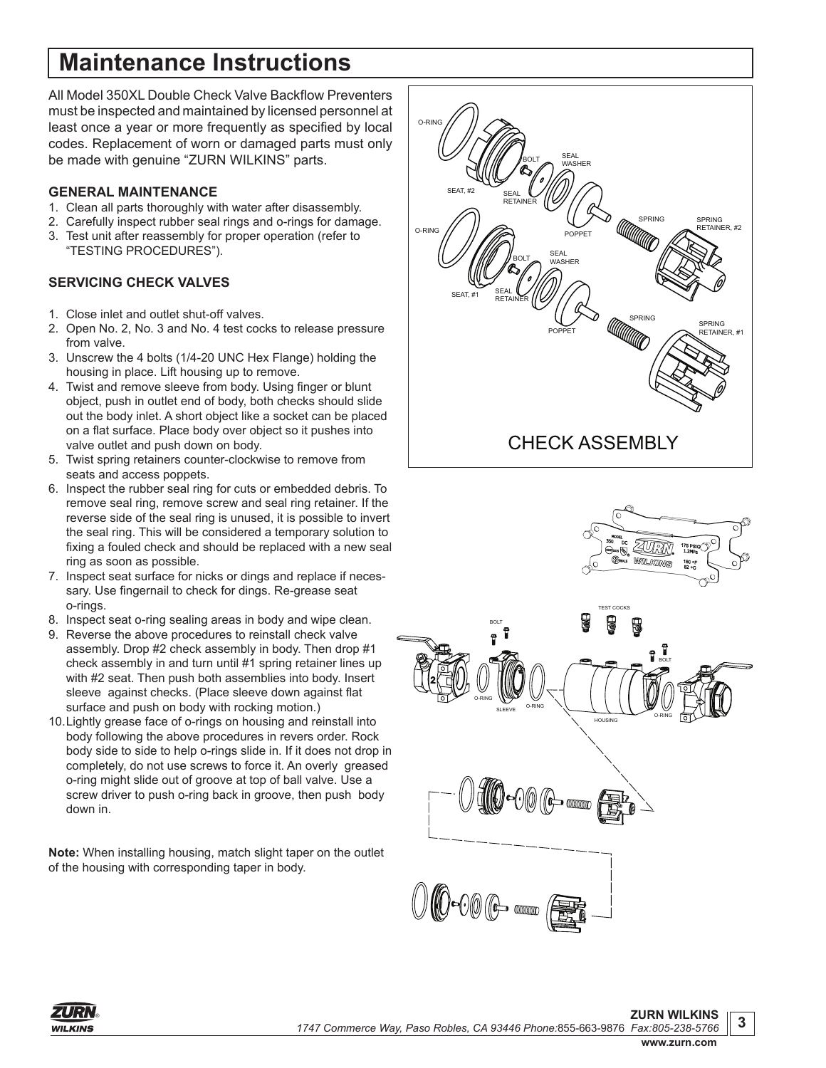# **Maintenance Instructions**

All Model 350XL Double Check Valve Backflow Preventers must be inspected and maintained by licensed personnel at least once a year or more frequently as specified by local codes. Replacement of worn or damaged parts must only be made with genuine "ZURN WILKINS" parts.

#### **GENERAL MAINTENANCE**

- 1. Clean all parts thoroughly with water after disassembly.
- 2. Carefully inspect rubber seal rings and o-rings for damage.
- 3. Test unit after reassembly for proper operation (refer to "TESTING PROCEDURES").

### **SERVICING CHECK VALVES**

- 1. Close inlet and outlet shut-off valves.
- 2. Open No. 2, No. 3 and No. 4 test cocks to release pressure from valve.
- 3. Unscrew the 4 bolts (1/4-20 UNC Hex Flange) holding the housing in place. Lift housing up to remove.
- 4. Twist and remove sleeve from body. Using finger or blunt object, push in outlet end of body, both checks should slide out the body inlet. A short object like a socket can be placed on a flat surface. Place body over object so it pushes into valve outlet and push down on body.
- 5. Twist spring retainers counter-clockwise to remove from seats and access poppets.
- 6. Inspect the rubber seal ring for cuts or embedded debris. To remove seal ring, remove screw and seal ring retainer. If the reverse side of the seal ring is unused, it is possible to invert the seal ring. This will be considered a temporary solution to fixing a fouled check and should be replaced with a new seal ring as soon as possible.
- 7. Inspect seat surface for nicks or dings and replace if necessary. Use fingernail to check for dings. Re-grease seat o-rings.
- 8. Inspect seat o-ring sealing areas in body and wipe clean.
- 9. Reverse the above procedures to reinstall check valve assembly. Drop #2 check assembly in body. Then drop #1 check assembly in and turn until #1 spring retainer lines up with #2 seat. Then push both assemblies into body. Insert sleeve against checks. (Place sleeve down against flat surface and push on body with rocking motion.)
- 10.Lightly grease face of o-rings on housing and reinstall into body following the above procedures in revers order. Rock body side to side to help o-rings slide in. If it does not drop in completely, do not use screws to force it. An overly greased o-ring might slide out of groove at top of ball valve. Use a screw driver to push o-ring back in groove, then push body down in.

**Note:** When installing housing, match slight taper on the outlet of the housing with corresponding taper in body.







**www.zurn.com**

**3**